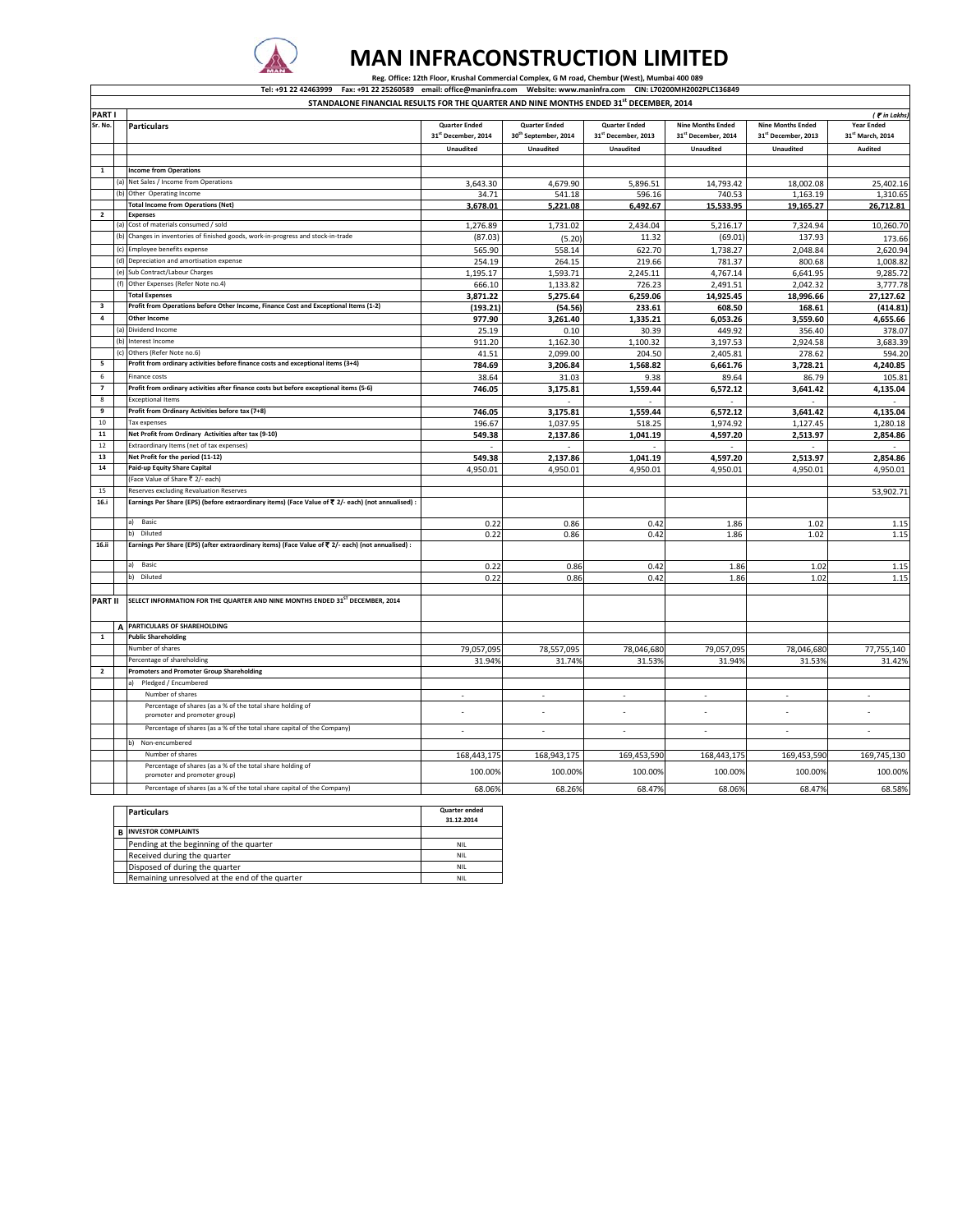

## **MAN INFRACONSTRUCTION LIMITED**

Reg. Office: 12th Floor, Krushal Commercial Complex, G M road, Chembur (West), Mumbai 400 089

Tel: +91 22 42463999 Fax: +91 22 25260589 email: office@maninfra.com Website: www.maninfra.com CIN: L70200MH2002PLC136849<br>STANDALONE FINANCIAL RESULTS FOR THE QUARTER AND NINE MONTHS ENDED 31<sup>st</sup> DECEMBER, 2014

|                         |            | STANDALONE FINANCIAL RESULTS FOR THE QUARTER AND NINE MONTHS ENDED 31" DECEMBER, 2014               |                                 |                                  |                                 |                          |                          |                   |
|-------------------------|------------|-----------------------------------------------------------------------------------------------------|---------------------------------|----------------------------------|---------------------------------|--------------------------|--------------------------|-------------------|
| <b>PART</b>             |            |                                                                                                     |                                 |                                  |                                 |                          |                          | ( <i>in Lakhs</i> |
| Sr. No.                 |            | <b>Particulars</b>                                                                                  | <b>Quarter Ended</b>            | <b>Quarter Ended</b>             | <b>Quarter Ended</b>            | <b>Nine Months Ended</b> | <b>Nine Months Ended</b> | <b>Year Ended</b> |
|                         |            |                                                                                                     | 31 <sup>st</sup> December, 2014 | 30 <sup>th</sup> September, 2014 | 31 <sup>st</sup> December, 2013 | 31st December, 2014      | 31st December, 2013      | 31st March, 2014  |
|                         |            |                                                                                                     | <b>Unaudited</b>                | Unaudited                        | <b>Unaudited</b>                | <b>Unaudited</b>         | Unaudited                | Audited           |
|                         |            |                                                                                                     |                                 |                                  |                                 |                          |                          |                   |
| $\overline{1}$          |            | <b>Income from Operations</b>                                                                       |                                 |                                  |                                 |                          |                          |                   |
|                         | (a)        | Net Sales / Income from Operations                                                                  | 3.643.30                        | 4,679.90                         | 5,896.51                        | 14.793.42                | 18.002.08                | 25,402.16         |
|                         | $\sqrt{h}$ | Other Operating Income                                                                              | 34.71                           | 541.18                           |                                 |                          | 1,163.19                 | 1,310.65          |
|                         |            |                                                                                                     |                                 |                                  | 596.16                          | 740.53                   |                          |                   |
| $\overline{2}$          |            | <b>Total Income from Operations (Net)</b><br><b>Expenses</b>                                        | 3.678.01                        | 5.221.08                         | 6.492.67                        | 15.533.95                | 19.165.27                | 26.712.81         |
|                         | (a)        | Cost of materials consumed / sold                                                                   | 1,276.89                        | 1,731.02                         | 2,434.04                        | 5,216.17                 | 7,324.94                 | 10,260.70         |
|                         | (b)        | Changes in inventories of finished goods, work-in-progress and stock-in-trade                       |                                 |                                  |                                 |                          |                          |                   |
|                         |            |                                                                                                     | (87.03)                         | (5.20)                           | 11.32                           | (69.01)                  | 137.93                   | 173.66            |
|                         | (c)        | Employee benefits expense                                                                           | 565.90                          | 558.14                           | 622.70                          | 1,738.27                 | 2,048.84                 | 2,620.94          |
|                         | (d)        | Depreciation and amortisation expense                                                               | 254.19                          | 264.15                           | 219.66                          | 781.37                   | 800.68                   | 1,008.82          |
|                         | (e)        | Sub Contract/Labour Charges                                                                         | 1,195.17                        | 1,593.71                         | 2,245.11                        | 4,767.14                 | 6,641.95                 | 9,285.72          |
|                         |            | Other Expenses (Refer Note no.4)                                                                    | 666.10                          | 1,133.82                         | 726.23                          | 2,491.51                 | 2,042.32                 | 3,777.78          |
|                         |            | <b>Total Expenses</b>                                                                               | 3,871.22                        | 5,275.64                         | 6,259.06                        | 14,925.45                | 18,996.66                | 27,127.62         |
| $\overline{\mathbf{3}}$ |            | Profit from Operations before Other Income, Finance Cost and Exceptional Items (1-2)                | (193.21)                        | (54.56)                          | 233.61                          | 608.50                   | 168.61                   | (414.81)          |
| 4                       |            | Other Income                                                                                        | 977.90                          | 3,261.40                         | 1,335.21                        | 6,053.26                 | 3,559.60                 | 4,655.66          |
|                         | (a)        | Dividend Income                                                                                     | 25.19                           | 0.10                             | 30.39                           | 449.92                   | 356.40                   | 378.07            |
|                         | (b)        |                                                                                                     |                                 |                                  |                                 |                          |                          |                   |
|                         |            | nterest Income                                                                                      | 911.20                          | 1,162.30                         | 1,100.32                        | 3,197.53                 | 2,924.58                 | 3,683.39          |
|                         | ١c         | Others (Refer Note no.6)                                                                            | 41.51                           | 2.099.00                         | 204.50                          | 2,405.81                 | 278.62                   | 594.20            |
| 5                       |            | Profit from ordinary activities before finance costs and exceptional items (3+4)                    | 784.69                          | 3,206.84                         | 1,568.82                        | 6,661.76                 | 3,728.21                 | 4,240.85          |
| 6                       |            | Finance costs                                                                                       | 38.64                           | 31.03                            | 9.38                            | 89.64                    | 86.79                    | 105.81            |
| $\overline{7}$          |            | Profit from ordinary activities after finance costs but before exceptional items (5-6)              | 746.05                          | 3,175.81                         | 1,559.44                        | 6,572.12                 | 3,641.42                 | 4,135.04          |
| 8                       |            | xceptional Items                                                                                    |                                 |                                  |                                 |                          |                          |                   |
| 9                       |            | Profit from Ordinary Activities before tax (7+8)                                                    | 746.05                          | 3,175.81                         | 1,559.44                        | 6,572.12                 | 3,641.42                 | 4,135.04          |
| 10                      |            | Tax expenses                                                                                        | 196.67                          | 1,037.95                         | 518.25                          | 1,974.92                 | 1,127.45                 | 1,280.18          |
| 11                      |            | Net Profit from Ordinary Activities after tax (9-10)                                                | 549.38                          | 2,137.86                         | 1,041.19                        | 4,597.20                 | 2,513.97                 | 2,854.86          |
| 12                      |            | <b>Extraordinary Items (net of tax expenses)</b>                                                    |                                 |                                  |                                 |                          |                          |                   |
| 13                      |            | Net Profit for the period (11-12)                                                                   |                                 |                                  |                                 |                          |                          |                   |
| 14                      |            |                                                                                                     | 549.38                          | 2,137.86                         | 1,041.19                        | 4,597.20                 | 2,513.97                 | 2,854.86          |
|                         |            | Paid-up Equity Share Capital                                                                        | 4,950.01                        | 4,950.01                         | 4,950.01                        | 4,950.01                 | 4,950.01                 | 4,950.01          |
|                         |            | Face Value of Share ₹ 2/- each)                                                                     |                                 |                                  |                                 |                          |                          |                   |
| 15                      |            | Reserves excluding Revaluation Reserves                                                             |                                 |                                  |                                 |                          |                          | 53,902.71         |
| 16.i                    |            | Earnings Per Share (EPS) (before extraordinary items) (Face Value of ₹ 2/- each) (not annualised) : |                                 |                                  |                                 |                          |                          |                   |
|                         |            |                                                                                                     |                                 |                                  |                                 |                          |                          |                   |
|                         |            | Basic                                                                                               | 0.22                            | 0.86                             | 0.42                            | 1.86                     | 1.02                     | 1.15              |
|                         |            | b) Diluted                                                                                          | 0.22                            | 0.86                             | 0.42                            | 1.86                     | 1.02                     | 1.15              |
| 16.ii                   |            | Earnings Per Share (EPS) (after extraordinary items) (Face Value of ₹ 2/- each) (not annualised) :  |                                 |                                  |                                 |                          |                          |                   |
|                         |            |                                                                                                     |                                 |                                  |                                 |                          |                          |                   |
|                         |            | Basic                                                                                               | 0.22                            | 0.86                             | 0.42                            | 1.86                     | 1.02                     | 1.15              |
|                         |            | Diluted                                                                                             | 0.22                            | 0.86                             | 0.42                            | 1.86                     | 1.02                     | 1.15              |
|                         |            |                                                                                                     |                                 |                                  |                                 |                          |                          |                   |
| <b>PART II</b>          |            | SELECT INFORMATION FOR THE QUARTER AND NINE MONTHS ENDED 31ST DECEMBER, 2014                        |                                 |                                  |                                 |                          |                          |                   |
|                         |            |                                                                                                     |                                 |                                  |                                 |                          |                          |                   |
|                         |            | A PARTICULARS OF SHAREHOLDING                                                                       |                                 |                                  |                                 |                          |                          |                   |
| $\mathbf 1$             |            | <b>Public Shareholding</b>                                                                          |                                 |                                  |                                 |                          |                          |                   |
|                         |            | Number of shares                                                                                    |                                 |                                  |                                 |                          |                          |                   |
|                         |            |                                                                                                     | 79,057,095                      | 78,557,095                       | 78,046,680                      | 79,057,095               | 78,046,680               | 77,755,140        |
|                         |            | Percentage of shareholding                                                                          | 31.94%                          | 31.74%                           | 31.53%                          | 31.94%                   | 31.53%                   | 31.42%            |
| $\overline{2}$          |            | Promoters and Promoter Group Shareholding                                                           |                                 |                                  |                                 |                          |                          |                   |
|                         |            | Pledged / Encumbered                                                                                |                                 |                                  |                                 |                          |                          |                   |
|                         |            | Number of shares                                                                                    | ٠                               | $\sim$                           | $\overline{\phantom{a}}$        | $\overline{\phantom{a}}$ | ٠                        | ٠                 |
|                         |            | Percentage of shares (as a % of the total share holding of<br>promoter and promoter group)          |                                 |                                  |                                 |                          |                          |                   |
|                         |            | Percentage of shares (as a % of the total share capital of the Company)                             | ÷                               | $\sim$                           | $\overline{\phantom{a}}$        |                          | $\overline{\phantom{a}}$ | ٠                 |
|                         |            | Non-encumbered                                                                                      |                                 |                                  |                                 |                          |                          |                   |
|                         |            | Number of shares                                                                                    | 168,443,175                     | 168,943,175                      | 169,453,590                     | 168,443,175              | 169,453,590              | 169,745,130       |
|                         |            | Percentage of shares (as a % of the total share holding of<br>promoter and promoter group)          | 100.00%                         | 100.00%                          | 100.00%                         | 100.00%                  | 100.00%                  | 100.00%           |
|                         |            | Percentage of shares (as a % of the total share capital of the Company)                             | 68.06%                          | 68.26%                           | 68.47%                          | 68.06%                   | 68.47%                   | 68.58%            |
|                         |            |                                                                                                     |                                 |                                  |                                 |                          |                          |                   |

| <b>Particulars</b>                             | <b>Quarter ended</b><br>31.12.2014 |  |
|------------------------------------------------|------------------------------------|--|
| <b>INVESTOR COMPLAINTS</b>                     |                                    |  |
| Pending at the beginning of the quarter        | <b>NIL</b>                         |  |
| Received during the quarter                    | <b>NIL</b>                         |  |
| Disposed of during the quarter                 | <b>NIL</b>                         |  |
| Remaining unresolved at the end of the quarter | NIL                                |  |